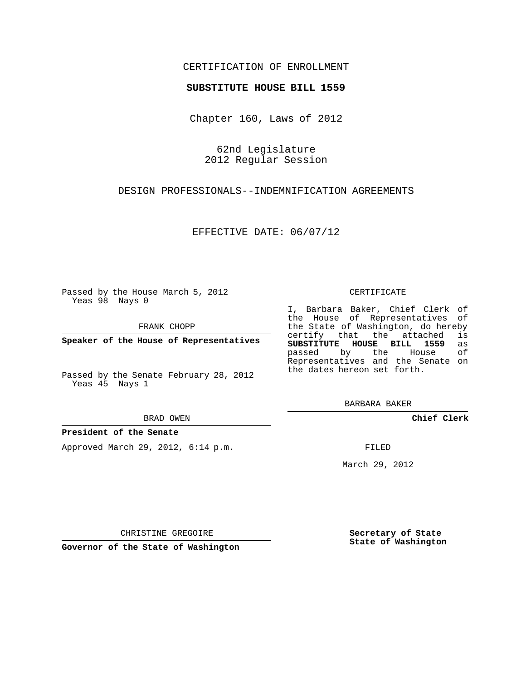### CERTIFICATION OF ENROLLMENT

#### **SUBSTITUTE HOUSE BILL 1559**

Chapter 160, Laws of 2012

62nd Legislature 2012 Regular Session

DESIGN PROFESSIONALS--INDEMNIFICATION AGREEMENTS

EFFECTIVE DATE: 06/07/12

Passed by the House March 5, 2012 Yeas 98 Nays 0

FRANK CHOPP

**Speaker of the House of Representatives**

Passed by the Senate February 28, 2012 Yeas 45 Nays 1

#### **President of the Senate**

Approved March 29, 2012, 6:14 p.m.

CERTIFICATE

I, Barbara Baker, Chief Clerk of the House of Representatives of the State of Washington, do hereby<br>certify that the attached is certify that the attached **SUBSTITUTE HOUSE BILL 1559** as passed by the Representatives and the Senate on the dates hereon set forth.

BARBARA BAKER

**Chief Clerk**

FILED

March 29, 2012

**Secretary of State State of Washington**

CHRISTINE GREGOIRE

**Governor of the State of Washington**

BRAD OWEN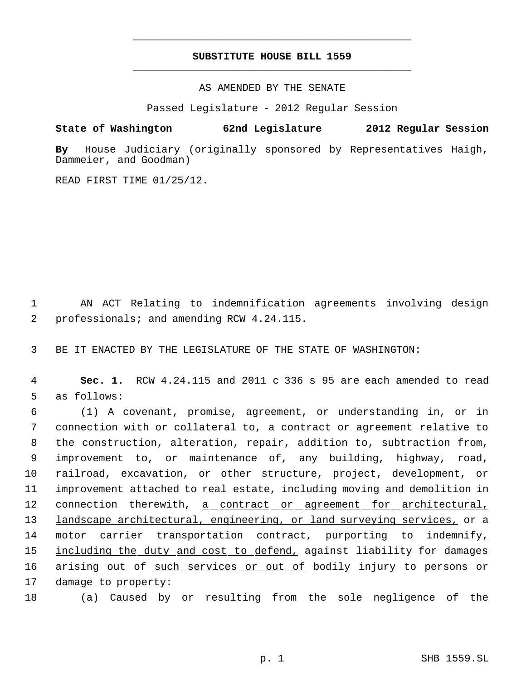# **SUBSTITUTE HOUSE BILL 1559** \_\_\_\_\_\_\_\_\_\_\_\_\_\_\_\_\_\_\_\_\_\_\_\_\_\_\_\_\_\_\_\_\_\_\_\_\_\_\_\_\_\_\_\_\_

\_\_\_\_\_\_\_\_\_\_\_\_\_\_\_\_\_\_\_\_\_\_\_\_\_\_\_\_\_\_\_\_\_\_\_\_\_\_\_\_\_\_\_\_\_

AS AMENDED BY THE SENATE

Passed Legislature - 2012 Regular Session

## **State of Washington 62nd Legislature 2012 Regular Session**

**By** House Judiciary (originally sponsored by Representatives Haigh, Dammeier, and Goodman)

READ FIRST TIME 01/25/12.

 1 AN ACT Relating to indemnification agreements involving design 2 professionals; and amending RCW 4.24.115.

3 BE IT ENACTED BY THE LEGISLATURE OF THE STATE OF WASHINGTON:

 4 **Sec. 1.** RCW 4.24.115 and 2011 c 336 s 95 are each amended to read 5 as follows:

 6 (1) A covenant, promise, agreement, or understanding in, or in 7 connection with or collateral to, a contract or agreement relative to 8 the construction, alteration, repair, addition to, subtraction from, 9 improvement to, or maintenance of, any building, highway, road, 10 railroad, excavation, or other structure, project, development, or 11 improvement attached to real estate, including moving and demolition in 12 connection therewith, a contract or agreement for architectural, 13 landscape architectural, engineering, or land surveying services, or a 14 motor carrier transportation contract, purporting to indemnify, 15 including the duty and cost to defend, against liability for damages 16 arising out of such services or out of bodily injury to persons or 17 damage to property:

18 (a) Caused by or resulting from the sole negligence of the